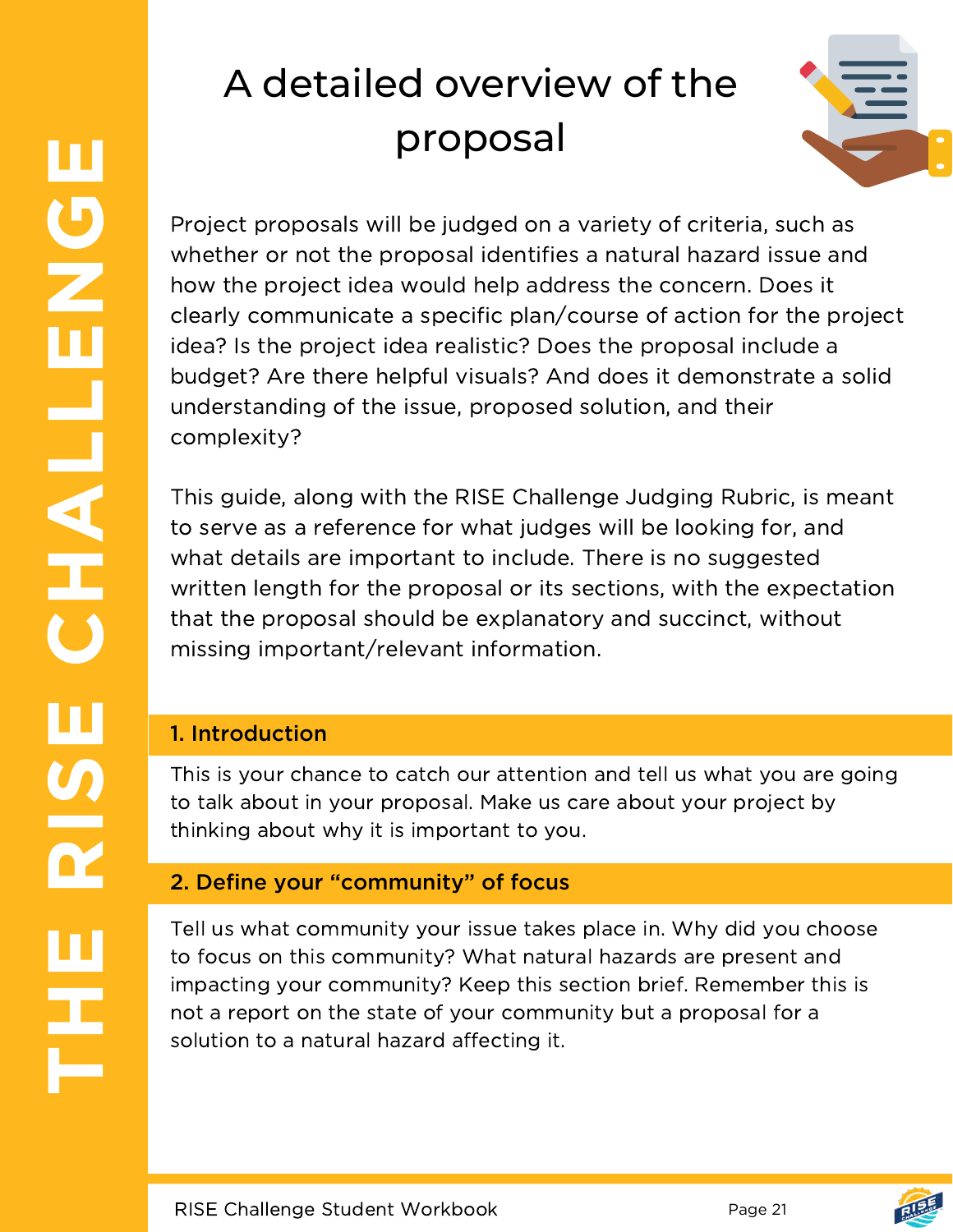# A detailed overview of the proposal



Project proposals will be judged on a variety of criteria, such as whether or not the proposal identifies a natural hazard issue and how the project idea would help address the concern. Does it clearly communicate a specific plan/course of action for the project idea? Is the project idea realistic? Does the proposal include a budget? Are there helpful visuals? And does it demonstrate a solid understanding of the issue, proposed solution, and their complexity?

This guide, along with the RISE Challenge Judging Rubric, is meant to serve as a reference for what judges will be looking for, and what details are important to include. There is no suggested written length for the proposal or its sections, with the expectation that the proposal should be explanatory and succinct, without missing important/relevant information.

# 1. Introduction

This is your chance to catch our attention and tell us what you are going to talk about in your proposal. Make us care about your project by thinking about why it is important to you.

# 2. Define your "community" of focus

Tell us what community your issue takes place in. Why did you choose to focus on this community? What natural hazards are present and impacting your community? Keep this section brief. Remember this is not a report on the state of your community but a proposal for a solution to a natural hazard affecting it.

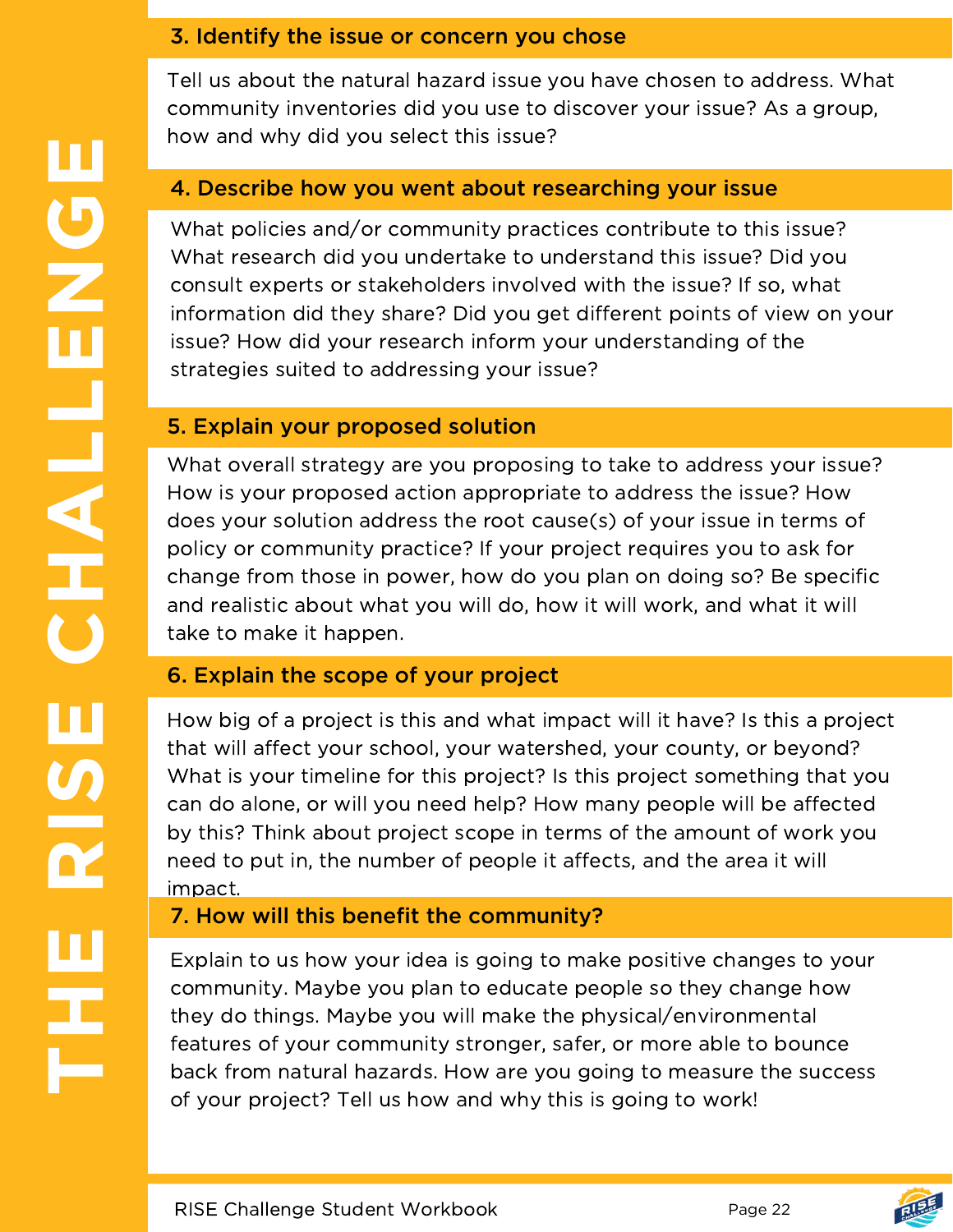#### 3. Identify the issue or concern you chose

Tell us about the natural hazard issue you have chosen to address. What community inventories did you use to discover your issue? As a group, how and why did you select this issue?

#### 4. Describe how you went about researching your issue

What policies and/or community practices contribute to this issue? What research did you undertake to understand this issue? Did you consult experts or stakeholders involved with the issue? If so, what information did they share? Did you get different points of view on your issue? How did your research inform your understanding of the strategies suited to addressing your issue?

#### 5. Explain your proposed solution

What overall strategy are you proposing to take to address your issue? How is your proposed action appropriate to address the issue? How does your solution address the root cause(s) of your issue in terms of policy or community practice? If your project requires you to ask for change from those in power, how do you plan on doing so? Be specific and realistic about what you will do, how it will work, and what it will take to make it happen.

#### 6. Explain the scope of your project

How big of a project is this and what impact will it have? Is this a project that will affect your school, your watershed, your county, or beyond? What is your timeline for this project? Is this project something that you can do alone, or will you need help? How many people will be affected by this? Think about project scope in terms of the amount of work you need to put in, the number of people it affects, and the area it will impact.

## 7. How will this benefit the community?

Explain to us how your idea is going to make positive changes to your community. Maybe you plan to educate people so they change how they do things. Maybe you will make the physical/environmental features of your community stronger, safer, or more able to bounce back from natural hazards. How are you going to measure the success of your project? Tell us how and why this is going to work!